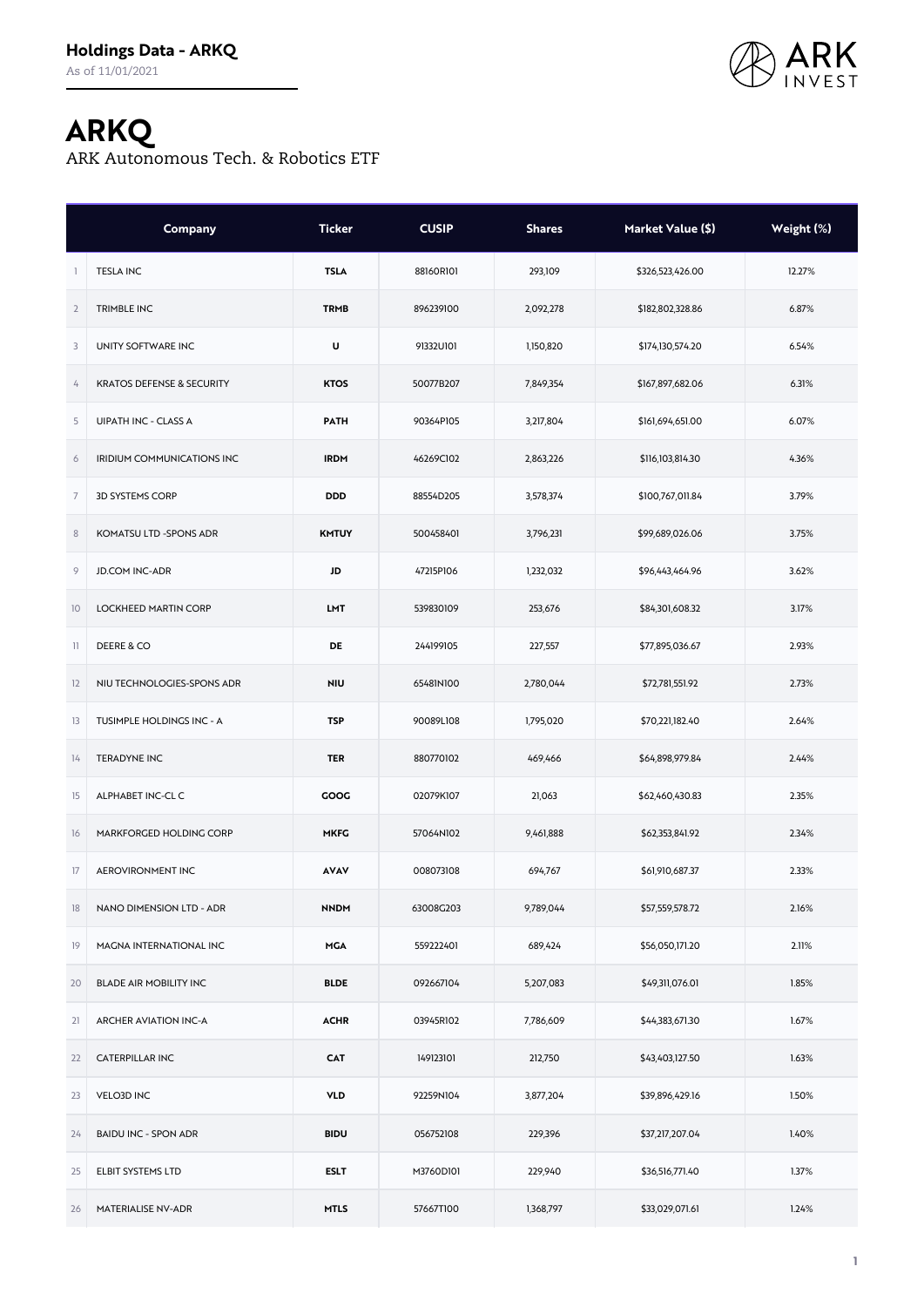

## **ARKQ**

ARK Autonomous Tech. & Robotics ETF

|                | Company                      | <b>Ticker</b> | <b>CUSIP</b> | <b>Shares</b> | Market Value (\$) | Weight (%) |
|----------------|------------------------------|---------------|--------------|---------------|-------------------|------------|
|                | <b>TESLA INC</b>             | <b>TSLA</b>   | 88160R101    | 293,109       | \$326,523,426.00  | 12.27%     |
| $\overline{2}$ | <b>TRIMBLE INC</b>           | <b>TRMB</b>   | 896239100    | 2,092,278     | \$182,802,328.86  | 6.87%      |
| 3              | UNITY SOFTWARE INC           | U             | 91332U101    | 1,150,820     | \$174,130,574.20  | 6.54%      |
| 4              | KRATOS DEFENSE & SECURITY    | <b>KTOS</b>   | 50077B207    | 7,849,354     | \$167,897,682.06  | 6.31%      |
| 5              | <b>UIPATH INC - CLASS A</b>  | <b>PATH</b>   | 90364P105    | 3,217,804     | \$161,694,651.00  | 6.07%      |
| 6              | IRIDIUM COMMUNICATIONS INC   | <b>IRDM</b>   | 46269C102    | 2,863,226     | \$116,103,814.30  | 4.36%      |
| $\overline{7}$ | <b>3D SYSTEMS CORP</b>       | <b>DDD</b>    | 88554D205    | 3,578,374     | \$100,767,011.84  | 3.79%      |
| $\,$ 8 $\,$    | KOMATSU LTD -SPONS ADR       | <b>KMTUY</b>  | 500458401    | 3,796,231     | \$99,689,026.06   | 3.75%      |
| 9              | <b>JD.COM INC-ADR</b>        | JD            | 47215P106    | 1,232,032     | \$96,443,464.96   | 3.62%      |
| 10             | <b>LOCKHEED MARTIN CORP</b>  | LMT           | 539830109    | 253,676       | \$84,301,608.32   | 3.17%      |
| $\mathbb{1}$   | DEERE & CO                   | DE            | 244199105    | 227,557       | \$77,895,036.67   | 2.93%      |
| 12             | NIU TECHNOLOGIES-SPONS ADR   | <b>NIU</b>    | 65481N100    | 2,780,044     | \$72,781,551.92   | 2.73%      |
| 13             | TUSIMPLE HOLDINGS INC - A    | <b>TSP</b>    | 90089L108    | 1,795,020     | \$70,221,182.40   | 2.64%      |
| 14             | <b>TERADYNE INC</b>          | <b>TER</b>    | 880770102    | 469,466       | \$64,898,979.84   | 2.44%      |
| 15             | ALPHABET INC-CL C            | GOOG          | 02079K107    | 21,063        | \$62,460,430.83   | 2.35%      |
| 16             | MARKFORGED HOLDING CORP      | <b>MKFG</b>   | 57064N102    | 9,461,888     | \$62,353,841.92   | 2.34%      |
| 17             | <b>AEROVIRONMENT INC</b>     | <b>AVAV</b>   | 008073108    | 694,767       | \$61,910,687.37   | 2.33%      |
| 18             | NANO DIMENSION LTD - ADR     | <b>NNDM</b>   | 63008G203    | 9,789,044     | \$57,559,578.72   | 2.16%      |
| 19             | MAGNA INTERNATIONAL INC      | <b>MGA</b>    | 559222401    | 689,424       | \$56,050,171.20   | 2.11%      |
| 20             | BLADE AIR MOBILITY INC       | <b>BLDE</b>   | 092667104    | 5,207,083     | \$49,311,076.01   | 1.85%      |
| 21             | <b>ARCHER AVIATION INC-A</b> | <b>ACHR</b>   | 03945R102    | 7,786,609     | \$44,383,671.30   | 1.67%      |
| 22             | <b>CATERPILLAR INC</b>       | <b>CAT</b>    | 149123101    | 212,750       | \$43,403,127.50   | 1.63%      |
| 23             | <b>VELO3D INC</b>            | <b>VLD</b>    | 92259N104    | 3,877,204     | \$39,896,429.16   | 1.50%      |
| 24             | <b>BAIDU INC - SPON ADR</b>  | <b>BIDU</b>   | 056752108    | 229,396       | \$37,217,207.04   | 1.40%      |
| 25             | ELBIT SYSTEMS LTD            | <b>ESLT</b>   | M3760D101    | 229,940       | \$36,516,771.40   | 1.37%      |
| 26             | MATERIALISE NV-ADR           | <b>MTLS</b>   | 57667T100    | 1,368,797     | \$33,029,071.61   | 1.24%      |